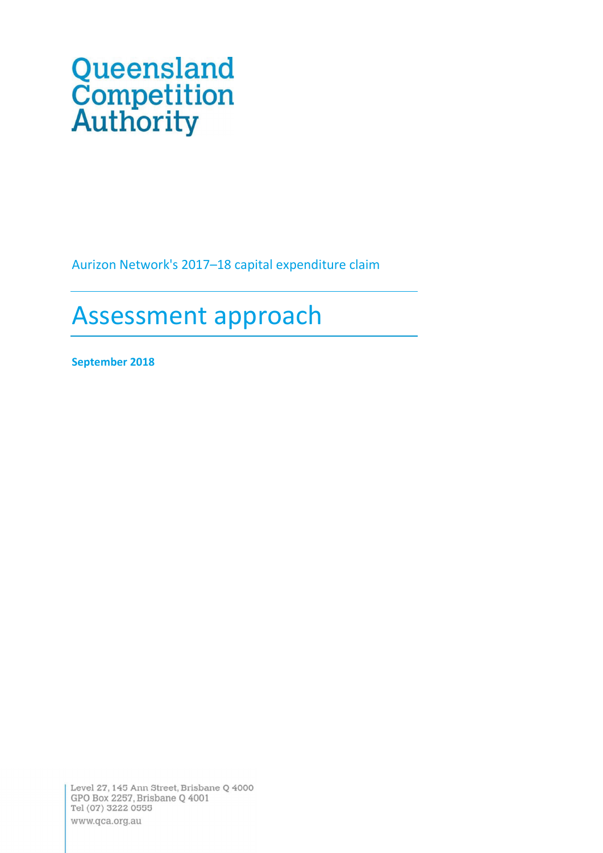# Queensland<br>Competition<br>Authority

Aurizon Network's 2017-18 capital expenditure claim

# Assessment approach

September 2018

Level 27, 145 Ann Street, Brisbane Q 4000 GPO Box 2257, Brisbane Q 4001 Tel (07) 3222 0555 www.qca.org.au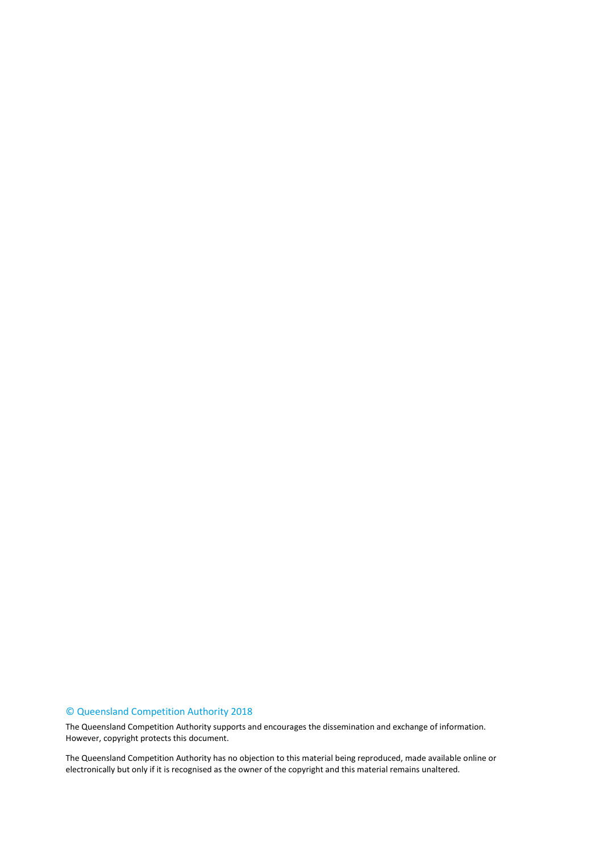#### © Queensland Competition Authority 2018

The Queensland Competition Authority supports and encourages the dissemination and exchange of information. However, copyright protects this document.

The Queensland Competition Authority has no objection to this material being reproduced, made available online or electronically but only if it is recognised as the owner of the copyright and this material remains unaltered.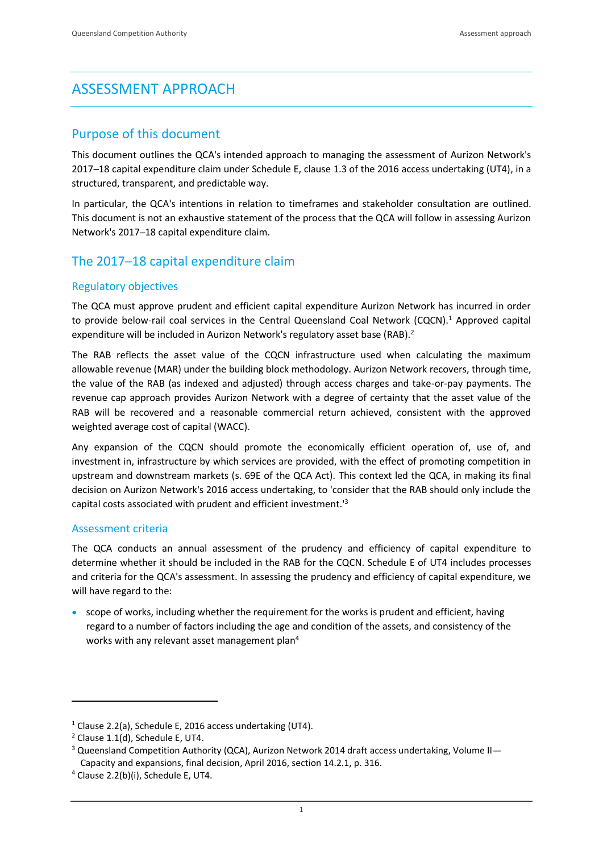# ASSESSMENT APPROACH

### Purpose of this document

This document outlines the QCA's intended approach to managing the assessment of Aurizon Network's 2017 18 capital expenditure claim under Schedule E, clause 1.3 of the 2016 access undertaking (UT4), in a structured, transparent, and predictable way.

In particular, the QCA's intentions in relation to timeframes and stakeholder consultation are outlined. This document is not an exhaustive statement of the process that the QCA will follow in assessing Aurizon Network's 2017-18 capital expenditure claim.

## The 2017-18 capital expenditure claim

#### Regulatory objectives

The QCA must approve prudent and efficient capital expenditure Aurizon Network has incurred in order to provide below-rail coal services in the Central Queensland Coal Network (CQCN).<sup>1</sup> Approved capital expenditure will be included in Aurizon Network's regulatory asset base (RAB).<sup>2</sup>

The RAB reflects the asset value of the CQCN infrastructure used when calculating the maximum allowable revenue (MAR) under the building block methodology. Aurizon Network recovers, through time, the value of the RAB (as indexed and adjusted) through access charges and take-or-pay payments. The revenue cap approach provides Aurizon Network with a degree of certainty that the asset value of the RAB will be recovered and a reasonable commercial return achieved, consistent with the approved weighted average cost of capital (WACC).

Any expansion of the CQCN should promote the economically efficient operation of, use of, and investment in, infrastructure by which services are provided, with the effect of promoting competition in upstream and downstream markets (s. 69E of the QCA Act). This context led the QCA, in making its final decision on Aurizon Network's 2016 access undertaking, to 'consider that the RAB should only include the capital costs associated with prudent and efficient investment.'<sup>3</sup>

#### Assessment criteria

The QCA conducts an annual assessment of the prudency and efficiency of capital expenditure to determine whether it should be included in the RAB for the CQCN. Schedule E of UT4 includes processes and criteria for the QCA's assessment. In assessing the prudency and efficiency of capital expenditure, we will have regard to the:

scope of works, including whether the requirement for the works is prudent and efficient, having regard to a number of factors including the age and condition of the assets, and consistency of the works with any relevant asset management plan<sup>4</sup>

-

<sup>&</sup>lt;sup>1</sup> Clause 2.2(a), Schedule E, 2016 access undertaking (UT4).

 $2$  Clause 1.1(d), Schedule E, UT4.

<sup>&</sup>lt;sup>3</sup> Queensland Competition Authority (QCA), Aurizon Network 2014 draft access undertaking, Volume II Capacity and expansions, final decision, April 2016, section 14.2.1, p. 316.

<sup>4</sup> Clause 2.2(b)(i), Schedule E, UT4.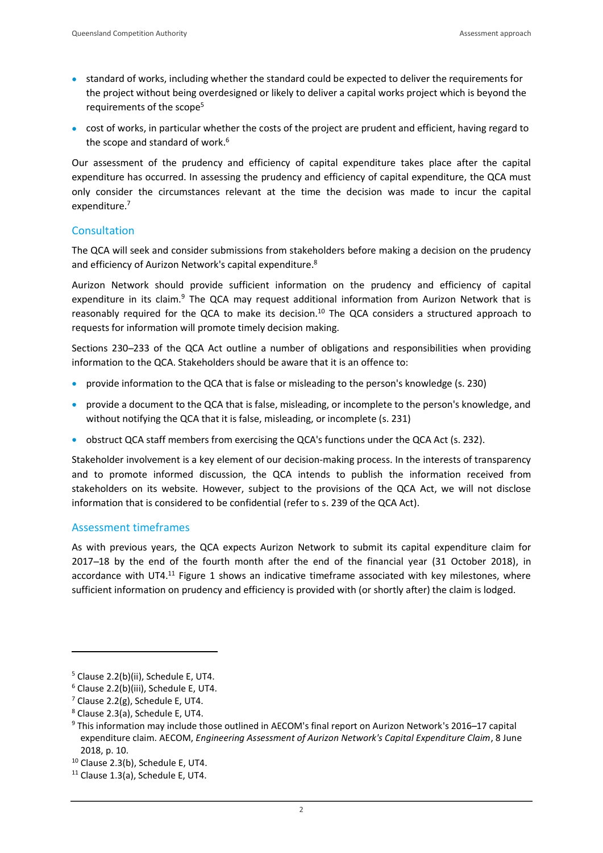- standard of works, including whether the standard could be expected to deliver the requirements for the project without being overdesigned or likely to deliver a capital works project which is beyond the requirements of the scope<sup>5</sup>
- cost of works, in particular whether the costs of the project are prudent and efficient, having regard to the scope and standard of work.<sup>6</sup>

Our assessment of the prudency and efficiency of capital expenditure takes place after the capital expenditure has occurred. In assessing the prudency and efficiency of capital expenditure, the QCA must only consider the circumstances relevant at the time the decision was made to incur the capital expenditure.<sup>7</sup>

#### **Consultation**

The QCA will seek and consider submissions from stakeholders before making a decision on the prudency and efficiency of Aurizon Network's capital expenditure.<sup>8</sup>

Aurizon Network should provide sufficient information on the prudency and efficiency of capital expenditure in its claim.<sup>9</sup> The QCA may request additional information from Aurizon Network that is reasonably required for the QCA to make its decision.<sup>10</sup> The QCA considers a structured approach to requests for information will promote timely decision making.

Sections 230-233 of the QCA Act outline a number of obligations and responsibilities when providing information to the QCA. Stakeholders should be aware that it is an offence to:

- provide information to the QCA that is false or misleading to the person's knowledge (s. 230)
- **•** provide a document to the QCA that is false, misleading, or incomplete to the person's knowledge, and without notifying the QCA that it is false, misleading, or incomplete (s. 231)
- obstruct QCA staff members from exercising the QCA's functions under the QCA Act (s. 232).

Stakeholder involvement is a key element of our decision-making process. In the interests of transparency and to promote informed discussion, the QCA intends to publish the information received from stakeholders on its website. However, subject to the provisions of the QCA Act, we will not disclose information that is considered to be confidential (refer to s. 239 of the QCA Act).

#### Assessment timeframes

As with previous years, the QCA expects Aurizon Network to submit its capital expenditure claim for 2017 18 by the end of the fourth month after the end of the financial year (31 October 2018), in accordance with UT4.<sup>11</sup> Figure 1 shows an indicative timeframe associated with key milestones, where sufficient information on prudency and efficiency is provided with (or shortly after) the claim is lodged.

-

 $<sup>5</sup>$  Clause 2.2(b)(ii), Schedule E, UT4.</sup>

<sup>6</sup> Clause 2.2(b)(iii), Schedule E, UT4.

 $7$  Clause 2.2(g), Schedule E, UT4.

<sup>8</sup> Clause 2.3(a), Schedule E, UT4.

<sup>&</sup>lt;sup>9</sup> This information may include those outlined in AECOM's final report on Aurizon Network's 2016–17 capital expenditure claim. AECOM, Engineering Assessment of Aurizon Network's Capital Expenditure Claim, 8 June 2018, p. 10.

<sup>10</sup> Clause 2.3(b), Schedule E, UT4.

<sup>11</sup> Clause 1.3(a), Schedule E, UT4.